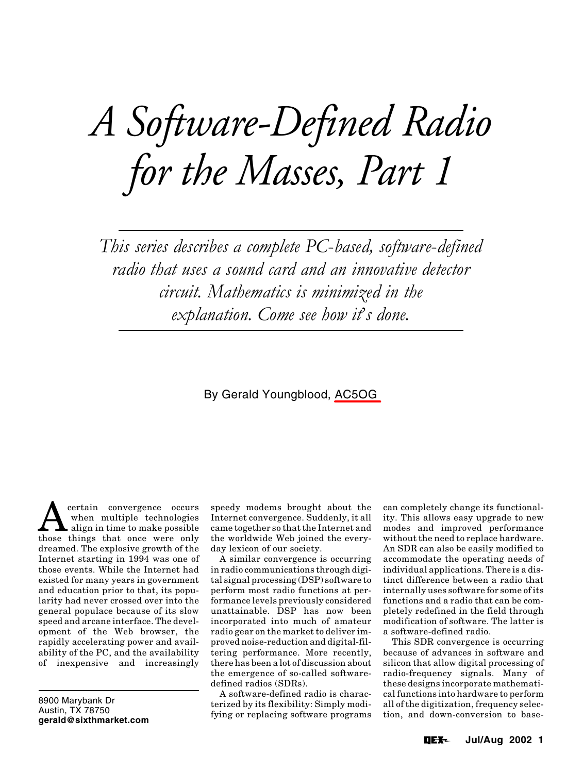# *A Software-Defined Radio for the Masses, Part 1*

*This series describes a complete PC*-*based, software*-*defined radio that uses a sound card and an innovative detector circuit. Mathematics is minimized in the explanation. Come see how it*'*s done.*

# By Gerald Youngblood, AC5OG

 $\sum_{\substack{\text{other multiple technologies}\ \text{hines that once were only}}$ when multiple technologies those things that once were only dreamed. The explosive growth of the Internet starting in 1994 was one of those events. While the Internet had existed for many years in government and education prior to that, its popularity had never crossed over into the general populace because of its slow speed and arcane interface. The development of the Web browser, the rapidly accelerating power and availability of the PC, and the availability of inexpensive and increasingly

8900 Marybank Dr Austin, TX 78750 **gerald@sixthmarket.com**

speedy modems brought about the Internet convergence. Suddenly, it all came together so that the Internet and the worldwide Web joined the everyday lexicon of our society.

A similar convergence is occurring in radio communications through digital signal processing (DSP) software to perform most radio functions at performance levels previously considered unattainable. DSP has now been incorporated into much of amateur radio gear on the market to deliver improved noise-reduction and digital-filtering performance. More recently, there has been a lot of discussion about the emergence of so-called softwaredefined radios (SDRs).

A software-defined radio is characterized by its flexibility: Simply modifying or replacing software programs can completely change its functionality. This allows easy upgrade to new modes and improved performance without the need to replace hardware. An SDR can also be easily modified to accommodate the operating needs of individual applications. There is a distinct difference between a radio that internally uses software for some of its functions and a radio that can be completely redefined in the field through modification of software. The latter is a software-defined radio.

This SDR convergence is occurring because of advances in software and silicon that allow digital processing of radio-frequency signals. Many of these designs incorporate mathematical functions into hardware to perform all of the digitization, frequency selection, and down-conversion to base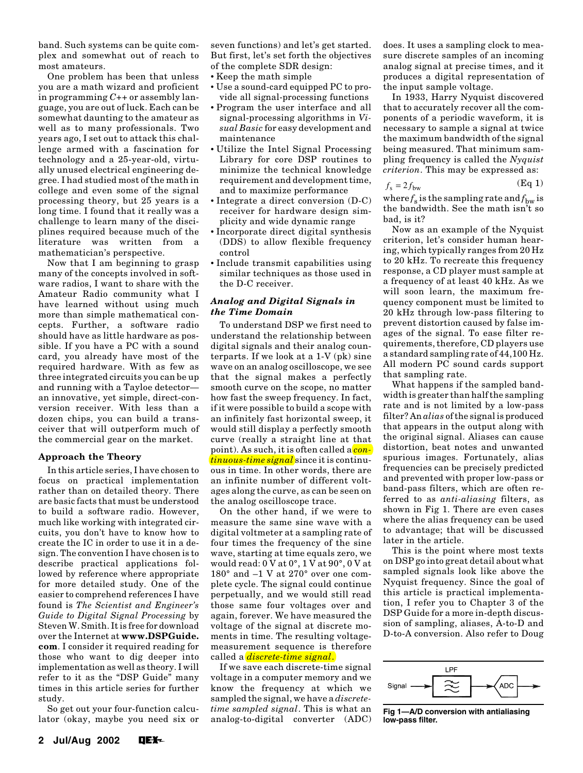band. Such systems can be quite complex and somewhat out of reach to most amateurs.

One problem has been that unless you are a math wizard and proficient in programming *C++* or assembly language, you are out of luck. Each can be somewhat daunting to the amateur as well as to many professionals. Two years ago, I set out to attack this challenge armed with a fascination for technology and a 25-year-old, virtually unused electrical engineering degree. I had studied most of the math in college and even some of the signal processing theory, but 25 years is a long time. I found that it really was a challenge to learn many of the disciplines required because much of the literature was written from a mathematician's perspective.

Now that I am beginning to grasp many of the concepts involved in software radios, I want to share with the Amateur Radio community what I have learned without using much more than simple mathematical concepts. Further, a software radio should have as little hardware as possible. If you have a PC with a sound card, you already have most of the required hardware. With as few as three integrated circuits you can be up and running with a Tayloe detector an innovative, yet simple, direct-conversion receiver. With less than a dozen chips, you can build a transceiver that will outperform much of the commercial gear on the market.

# **Approach the Theory**

In this article series, I have chosen to focus on practical implementation rather than on detailed theory. There are basic facts that must be understood to build a software radio. However, much like working with integrated circuits, you don't have to know how to create the IC in order to use it in a design. The convention I have chosen is to describe practical applications followed by reference where appropriate for more detailed study. One of the easier to comprehend references I have found is *The Scientist and Engineer's Guide to Digital Signal Processing* by Steven W. Smith. It is free for download over the Internet at **www.DSPGuide. com**. I consider it required reading for those who want to dig deeper into implementation as well as theory. I will refer to it as the "DSP Guide" many times in this article series for further study.

So get out your four-function calculator (okay, maybe you need six or

seven functions) and let's get started. But first, let's set forth the objectives of the complete SDR design:

- Keep the math simple
- Use a sound-card equipped PC to provide all signal-processing functions
- Program the user interface and all signal-processing algorithms in *Visual Basic* for easy development and maintenance
- Utilize the Intel Signal Processing Library for core DSP routines to minimize the technical knowledge requirement and development time, and to maximize performance
- Integrate a direct conversion (D-C) receiver for hardware design simplicity and wide dynamic range
- Incorporate direct digital synthesis (DDS) to allow flexible frequency control
- Include transmit capabilities using similar techniques as those used in the D-C receiver.

# *Analog and Digital Signals in the Time Domain*

To understand DSP we first need to understand the relationship between digital signals and their analog counterparts. If we look at a 1-V (pk) sine wave on an analog oscilloscope, we see that the signal makes a perfectly smooth curve on the scope, no matter how fast the sweep frequency. In fact, if it were possible to build a scope with an infinitely fast horizontal sweep, it would still display a perfectly smooth curve (really a straight line at that point). As such, it is often called a *continuous-time signal* since it is continuous in time. In other words, there are an infinite number of different voltages along the curve, as can be seen on the analog oscilloscope trace.

On the other hand, if we were to measure the same sine wave with a digital voltmeter at a sampling rate of four times the frequency of the sine wave, starting at time equals zero, we would read: 0 V at 0°, 1 V at 90°, 0 V at 180° and –1 V at 270° over one complete cycle. The signal could continue perpetually, and we would still read those same four voltages over and again, forever. We have measured the voltage of the signal at discrete moments in time. The resulting voltagemeasurement sequence is therefore called a *discrete-time signal*.

If we save each discrete-time signal voltage in a computer memory and we know the frequency at which we sampled the signal, we have a *discretetime sampled signal*. This is what an analog-to-digital converter (ADC) does. It uses a sampling clock to measure discrete samples of an incoming analog signal at precise times, and it produces a digital representation of the input sample voltage.

In 1933, Harry Nyquist discovered that to accurately recover all the components of a periodic waveform, it is necessary to sample a signal at twice the maximum bandwidth of the signal being measured. That minimum sampling frequency is called the *Nyquist criterion*. This may be expressed as:

$$
f_{\rm s} = 2f_{\rm bw} \tag{Eq 1}
$$

where  $f_s$  is the sampling rate and  $f_{bw}$  is the bandwidth. See the math isn't so bad, is it?

Now as an example of the Nyquist criterion, let's consider human hearing, which typically ranges from 20 Hz to 20 kHz. To recreate this frequency response, a CD player must sample at a frequency of at least 40 kHz. As we will soon learn, the maximum frequency component must be limited to 20 kHz through low-pass filtering to prevent distortion caused by false images of the signal. To ease filter requirements, therefore, CD players use a standard sampling rate of 44,100 Hz. All modern PC sound cards support that sampling rate.

What happens if the sampled bandwidth is greater than half the sampling rate and is not limited by a low-pass filter? An *alias* of the signal is produced that appears in the output along with the original signal. Aliases can cause distortion, beat notes and unwanted spurious images. Fortunately, alias frequencies can be precisely predicted and prevented with proper low-pass or band-pass filters, which are often referred to as *anti-aliasing* filters, as shown in Fig 1. There are even cases where the alias frequency can be used to advantage; that will be discussed later in the article.

This is the point where most texts on DSP go into great detail about what sampled signals look like above the Nyquist frequency. Since the goal of this article is practical implementation, I refer you to Chapter 3 of the DSP Guide for a more in-depth discussion of sampling, aliases, A-to-D and D-to-A conversion. Also refer to Doug



**Fig 1—A/D conversion with antialiasing low-pass filter.**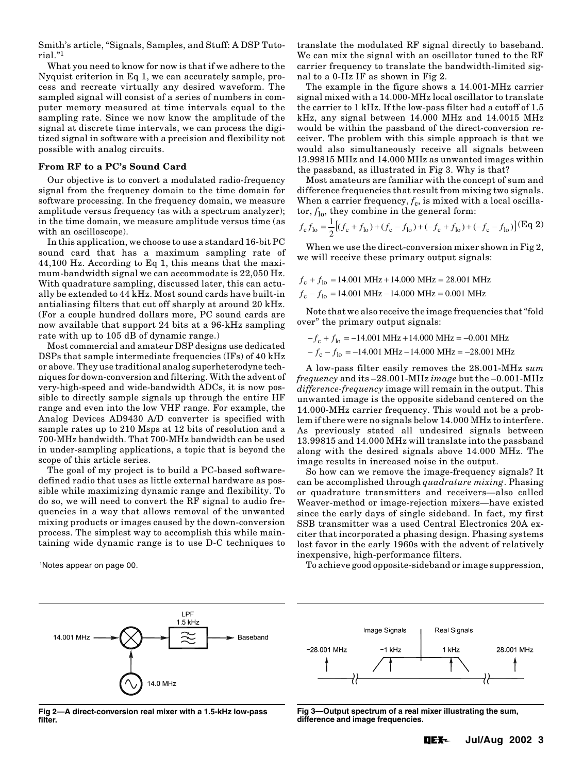Smith's article, "Signals, Samples, and Stuff: A DSP Tutorial."1

What you need to know for now is that if we adhere to the Nyquist criterion in Eq 1, we can accurately sample, process and recreate virtually any desired waveform. The sampled signal will consist of a series of numbers in computer memory measured at time intervals equal to the sampling rate. Since we now know the amplitude of the signal at discrete time intervals, we can process the digitized signal in software with a precision and flexibility not possible with analog circuits.

#### **From RF to a PC's Sound Card**

Our objective is to convert a modulated radio-frequency signal from the frequency domain to the time domain for software processing. In the frequency domain, we measure amplitude versus frequency (as with a spectrum analyzer); in the time domain, we measure amplitude versus time (as with an oscilloscope).

In this application, we choose to use a standard 16-bit PC sound card that has a maximum sampling rate of 44,100 Hz. According to Eq 1, this means that the maximum-bandwidth signal we can accommodate is 22,050 Hz. With quadrature sampling, discussed later, this can actually be extended to 44 kHz. Most sound cards have built-in antialiasing filters that cut off sharply at around 20 kHz. (For a couple hundred dollars more, PC sound cards are now available that support 24 bits at a 96-kHz sampling rate with up to 105 dB of dynamic range.)

Most commercial and amateur DSP designs use dedicated DSPs that sample intermediate frequencies (IFs) of 40 kHz or above. They use traditional analog superheterodyne techniques for down-conversion and filtering. With the advent of very-high-speed and wide-bandwidth ADCs, it is now possible to directly sample signals up through the entire HF range and even into the low VHF range. For example, the Analog Devices AD9430 A/D converter is specified with sample rates up to 210 Msps at 12 bits of resolution and a 700-MHz bandwidth. That 700-MHz bandwidth can be used in under-sampling applications, a topic that is beyond the scope of this article series.

The goal of my project is to build a PC-based softwaredefined radio that uses as little external hardware as possible while maximizing dynamic range and flexibility. To do so, we will need to convert the RF signal to audio frequencies in a way that allows removal of the unwanted mixing products or images caused by the down-conversion process. The simplest way to accomplish this while maintaining wide dynamic range is to use D-C techniques to

translate the modulated RF signal directly to baseband. We can mix the signal with an oscillator tuned to the RF carrier frequency to translate the bandwidth-limited signal to a 0-Hz IF as shown in Fig 2.

The example in the figure shows a 14.001-MHz carrier signal mixed with a 14.000-MHz local oscillator to translate the carrier to 1 kHz. If the low-pass filter had a cutoff of 1.5 kHz, any signal between 14.000 MHz and 14.0015 MHz would be within the passband of the direct-conversion receiver. The problem with this simple approach is that we would also simultaneously receive all signals between 13.99815 MHz and 14.000 MHz as unwanted images within the passband, as illustrated in Fig 3. Why is that?

Most amateurs are familiar with the concept of sum and difference frequencies that result from mixing two signals. When a carrier frequency,  $f_c$ , is mixed with a local oscillator,  $f_{\text{lo}}$ , they combine in the general form:

$$
f_{\rm c} f_{\rm lo} = \frac{1}{2} \left[ (f_{\rm c} + f_{\rm lo}) + (f_{\rm c} - f_{\rm lo}) + (-f_{\rm c} + f_{\rm lo}) + (-f_{\rm c} - f_{\rm lo}) \right] (\text{Eq 2})
$$

When we use the direct-conversion mixer shown in Fig 2, we will receive these primary output signals:

 $f_c - f_{lo} = 14.001 \text{ MHz} - 14.000 \text{ MHz} = 0.001 \text{ MHz}$  $f_c + f_{lo} = 14.001 \text{ MHz} + 14.000 \text{ MHz} = 28.001 \text{ MHz}$ 

Note that we also receive the image frequencies that "fold over" the primary output signals:

 $-f_c + f_{lo} = -14.001 \text{ MHz} + 14.000 \text{ MHz} = -0.001 \text{ MHz}$ 

 $-f_c - f_{lo} = -14.001 \text{ MHz} - 14.000 \text{ MHz} = -28.001 \text{ MHz}$ 

A low-pass filter easily removes the 28.001-MHz *sum frequency* and its –28.001-MHz *image* but the –0.001-MHz *difference-frequency* image will remain in the output. This unwanted image is the opposite sideband centered on the 14.000-MHz carrier frequency. This would not be a problem if there were no signals below 14.000 MHz to interfere. As previously stated all undesired signals between 13.99815 and 14.000 MHz will translate into the passband along with the desired signals above 14.000 MHz. The image results in increased noise in the output.

So how can we remove the image-frequency signals? It can be accomplished through *quadrature mixing*. Phasing or quadrature transmitters and receivers—also called Weaver-method or image-rejection mixers—have existed since the early days of single sideband. In fact, my first SSB transmitter was a used Central Electronics 20A exciter that incorporated a phasing design. Phasing systems lost favor in the early 1960s with the advent of relatively inexpensive, high-performance filters.

To achieve good opposite-sideband or image suppression, 1Notes appear on page 00.



**Fig 2—A direct-conversion real mixer with a 1.5-kHz low-pass filter.**



**Fig 3—Output spectrum of a real mixer illustrating the sum, difference and image frequencies.**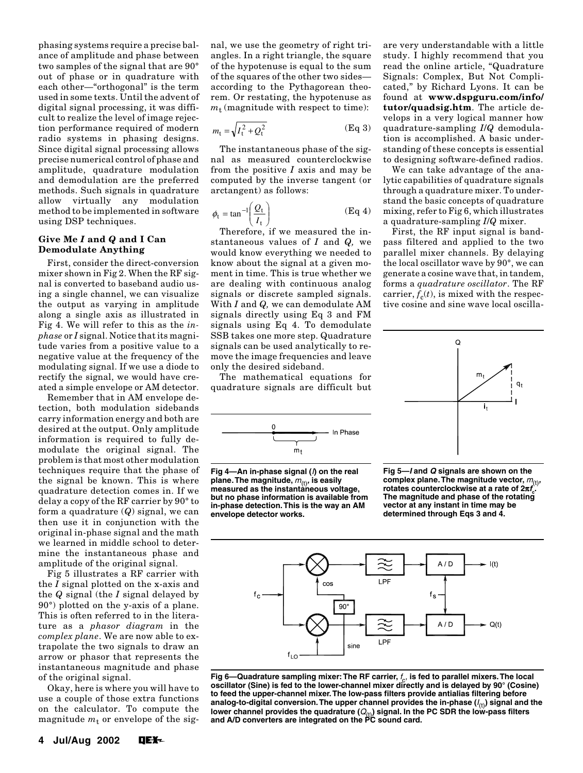phasing systems require a precise balance of amplitude and phase between two samples of the signal that are 90° out of phase or in quadrature with each other—"orthogonal" is the term used in some texts. Until the advent of digital signal processing, it was difficult to realize the level of image rejection performance required of modern radio systems in phasing designs. Since digital signal processing allows precise numerical control of phase and amplitude, quadrature modulation and demodulation are the preferred methods. Such signals in quadrature allow virtually any modulation method to be implemented in software using DSP techniques.

## **Give Me** *I* **and** *Q* **and I Can Demodulate Anything**

First, consider the direct-conversion mixer shown in Fig 2. When the RF signal is converted to baseband audio using a single channel, we can visualize the output as varying in amplitude along a single axis as illustrated in Fig 4. We will refer to this as the *inphase* or *I* signal. Notice that its magnitude varies from a positive value to a negative value at the frequency of the modulating signal. If we use a diode to rectify the signal, we would have created a simple envelope or AM detector.

Remember that in AM envelope detection, both modulation sidebands carry information energy and both are desired at the output. Only amplitude information is required to fully demodulate the original signal. The problem is that most other modulation techniques require that the phase of the signal be known. This is where quadrature detection comes in. If we delay a copy of the RF carrier by 90° to form a quadrature (*Q*) signal, we can then use it in conjunction with the original in-phase signal and the math we learned in middle school to determine the instantaneous phase and amplitude of the original signal.

Fig 5 illustrates a RF carrier with the *I* signal plotted on the x-axis and the *Q* signal (the *I* signal delayed by 90°) plotted on the y-axis of a plane. This is often referred to in the literature as a *phasor diagram* in the *complex plane*. We are now able to extrapolate the two signals to draw an arrow or phasor that represents the instantaneous magnitude and phase of the original signal.

Okay, here is where you will have to use a couple of those extra functions on the calculator. To compute the magnitude  $m_t$  or envelope of the signal, we use the geometry of right triangles. In a right triangle, the square of the hypotenuse is equal to the sum of the squares of the other two sides according to the Pythagorean theorem. Or restating, the hypotenuse as  $m_t$  (magnitude with respect to time):

$$
m_{t} = \sqrt{I_{t}^{2} + Q_{t}^{2}}
$$
 (Eq 3)

The instantaneous phase of the signal as measured counterclockwise from the positive *I* axis and may be computed by the inverse tangent (or arctangent) as follows:

$$
\phi_{t} = \tan^{-1}\left(\frac{Q_{t}}{I_{t}}\right) \tag{Eq 4}
$$

Therefore, if we measured the instantaneous values of *I* and *Q,* we would know everything we needed to know about the signal at a given moment in time. This is true whether we are dealing with continuous analog signals or discrete sampled signals. With *I* and *Q,* we can demodulate AM signals directly using Eq 3 and FM signals using Eq 4. To demodulate SSB takes one more step. Quadrature signals can be used analytically to remove the image frequencies and leave only the desired sideband.

The mathematical equations for quadrature signals are difficult but



**Fig 4—An in-phase signal (**I**) on the real plane. The magnitude,**  $m_{(t)}$ **, is easily measured as the instantaneous voltage, but no phase information is available from in-phase detection. This is the way an AM envelope detector works.**

are very understandable with a little study. I highly recommend that you read the online article, "Quadrature Signals: Complex, But Not Complicated," by Richard Lyons. It can be found at **www.dspguru.com/info/ tutor/quadsig.htm**. The article develops in a very logical manner how quadrature-sampling *I*/*Q* demodulation is accomplished. A basic understanding of these concepts is essential to designing software-defined radios.

We can take advantage of the analytic capabilities of quadrature signals through a quadrature mixer. To understand the basic concepts of quadrature mixing, refer to Fig 6, which illustrates a quadrature-sampling *I*/*Q* mixer.

First, the RF input signal is bandpass filtered and applied to the two parallel mixer channels. By delaying the local oscillator wave by 90°, we can generate a cosine wave that, in tandem, forms a *quadrature oscillator*. The RF carrier,  $f_c(t)$ , is mixed with the respective cosine and sine wave local oscilla-



**Fig 5—I and Q signals are shown on the** complex plane. The magnitude vector,  $m_{\text{(t)}},$  rotates counterclockwise at a rate of 2 $\pi f_{\text{c}}$ . **rotates counterclockwise at a rate of 2**π**f<sup>c</sup> The magnitude and phase of the rotating vector at any instant in time may be determined through Eqs 3 and 4.**



Fig 6—Quadrature sampling mixer: The RF carrier,  $f_c$ , is fed to parallel mixers. The local **oscillator (Sine) is fed to the lower-channel mixer directly and is delayed by 90° (Cosine) to feed the upper-channel mixer. The low-pass filters provide antialias filtering before** analog-to-digital conversion. The upper channel provides the in-phase ( $I_{(t)}$ ) signal and the lower channel provides the quadrature ( $Q_{\rm (t)}$ ) signal. In the PC SDR the loẁ-pass filters<br>and A/D converters are integrated on the PC sound card.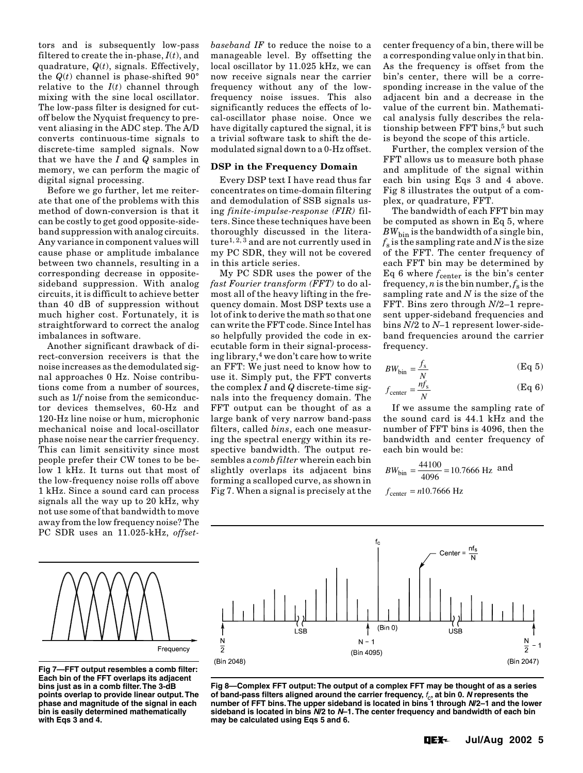tors and is subsequently low-pass filtered to create the in-phase, *I*(*t*), and quadrature, *Q*(*t*), signals. Effectively, the  $Q(t)$  channel is phase-shifted  $90^\circ$ relative to the  $I(t)$  channel through mixing with the sine local oscillator. The low-pass filter is designed for cutoff below the Nyquist frequency to prevent aliasing in the ADC step. The A/D converts continuous-time signals to discrete-time sampled signals. Now that we have the *I* and *Q* samples in memory, we can perform the magic of digital signal processing.

Before we go further, let me reiterate that one of the problems with this method of down-conversion is that it can be costly to get good opposite-sideband suppression with analog circuits. Any variance in component values will cause phase or amplitude imbalance between two channels, resulting in a corresponding decrease in oppositesideband suppression. With analog circuits, it is difficult to achieve better than 40 dB of suppression without much higher cost. Fortunately, it is straightforward to correct the analog imbalances in software.

Another significant drawback of direct-conversion receivers is that the noise increases as the demodulated signal approaches 0 Hz. Noise contributions come from a number of sources, such as 1/*f* noise from the semiconductor devices themselves, 60-Hz and 120-Hz line noise or hum, microphonic mechanical noise and local-oscillator phase noise near the carrier frequency. This can limit sensitivity since most people prefer their CW tones to be below 1 kHz. It turns out that most of the low-frequency noise rolls off above 1 kHz. Since a sound card can process signals all the way up to 20 kHz, why not use some of that bandwidth to move away from the low frequency noise? The PC SDR uses an 11.025-kHz, *offset-* *baseband IF* to reduce the noise to a manageable level. By offsetting the local oscillator by 11.025 kHz, we can now receive signals near the carrier frequency without any of the lowfrequency noise issues. This also significantly reduces the effects of local-oscillator phase noise. Once we have digitally captured the signal, it is a trivial software task to shift the demodulated signal down to a 0-Hz offset.

#### **DSP in the Frequency Domain**

Every DSP text I have read thus far concentrates on time-domain filtering and demodulation of SSB signals using *finite-impulse-response (FIR)* filters. Since these techniques have been thoroughly discussed in the literature<sup>1, 2, 3</sup> and are not currently used in my PC SDR, they will not be covered in this article series.

My PC SDR uses the power of the *fast Fourier transform (FFT)* to do almost all of the heavy lifting in the frequency domain. Most DSP texts use a lot of ink to derive the math so that one can write the FFT code. Since Intel has so helpfully provided the code in executable form in their signal-processing library,4 we don't care how to write an FFT: We just need to know how to use it. Simply put, the FFT converts the complex *I* and *Q* discrete-time signals into the frequency domain. The FFT output can be thought of as a large bank of very narrow band-pass filters, called *bins*, each one measuring the spectral energy within its respective bandwidth. The output resembles a *comb filter* wherein each bin slightly overlaps its adjacent bins forming a scalloped curve, as shown in Fig 7. When a signal is precisely at the

center frequency of a bin, there will be a corresponding value only in that bin. As the frequency is offset from the bin's center, there will be a corresponding increase in the value of the adjacent bin and a decrease in the value of the current bin. Mathematical analysis fully describes the relationship between FFT bins,<sup>5</sup> but such is beyond the scope of this article.

Further, the complex version of the FFT allows us to measure both phase and amplitude of the signal within each bin using Eqs 3 and 4 above. Fig 8 illustrates the output of a complex, or quadrature, FFT.

The bandwidth of each FFT bin may be computed as shown in Eq 5, where  $BW_{\text{bin}}$  is the bandwidth of a single bin,  $f_s$  is the sampling rate and *N* is the size of the FFT. The center frequency of each FFT bin may be determined by Eq 6 where  $f_{\text{center}}$  is the bin's center frequency, *n* is the bin number,  $f_s$  is the sampling rate and *N* is the size of the FFT. Bins zero through *N*/2–1 represent upper-sideband frequencies and bins *N*/2 to *N–*1 represent lower-sideband frequencies around the carrier frequency.

$$
BW_{\text{bin}} = \frac{f_s}{N} \tag{Eq 5}
$$

$$
f_{\text{center}} = \frac{nf_s}{N} \tag{Eq 6}
$$

If we assume the sampling rate of the sound card is 44.1 kHz and the number of FFT bins is 4096, then the bandwidth and center frequency of each bin would be:

$$
BW_{\text{bin}} = \frac{44100}{4096} = 10.7666 \text{ Hz} \text{ and}
$$

$$
f_{\text{center}} = n10.7666 \text{ Hz}
$$



**Fig 7—FFT output resembles a comb filter: Each bin of the FFT overlaps its adjacent bins just as in a comb filter. The 3-dB points overlap to provide linear output. The phase and magnitude of the signal in each bin is easily determined mathematically with Eqs 3 and 4.**



**Fig 8—Complex FFT output: The output of a complex FFT may be thought of as a series** of band-pass filters aligned around the carrier frequency,  $f_c$ , at bin 0. *N* represents the **number of FFT bins. The upper sideband is located in bins 1 through N/2–1 and the lower sideband is located in bins N/2 to N–1. The center frequency and bandwidth of each bin may be calculated using Eqs 5 and 6.**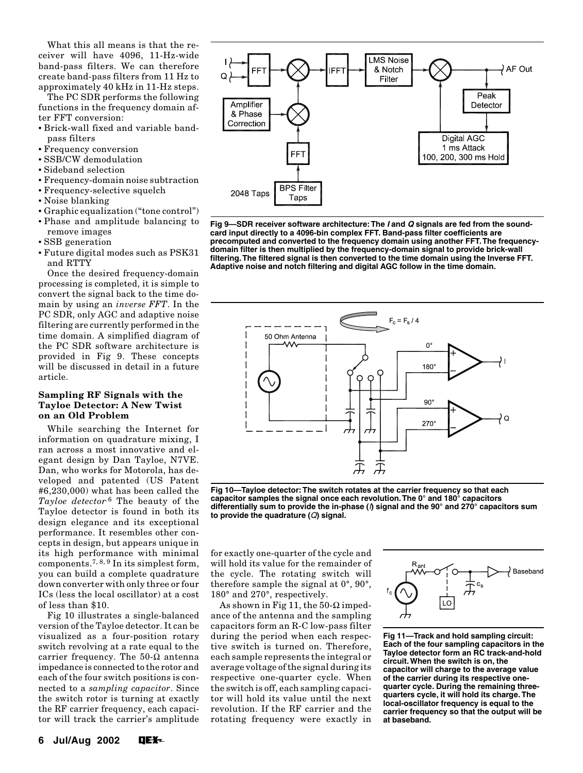What this all means is that the receiver will have 4096, 11-Hz-wide band-pass filters. We can therefore create band-pass filters from 11 Hz to approximately 40 kHz in 11-Hz steps.

The PC SDR performs the following functions in the frequency domain after FFT conversion:

- Brick-wall fixed and variable bandpass filters
- Frequency conversion
- SSB/CW demodulation
- Sideband selection
- Frequency-domain noise subtraction
- Frequency-selective squelch
- Noise blanking
- Graphic equalization ("tone control")
- Phase and amplitude balancing to remove images
- SSB generation
- Future digital modes such as PSK31 and RTTY

Once the desired frequency-domain processing is completed, it is simple to convert the signal back to the time domain by using an *inverse FFT*. In the PC SDR, only AGC and adaptive noise filtering are currently performed in the time domain. A simplified diagram of the PC SDR software architecture is provided in Fig 9. These concepts will be discussed in detail in a future article.

## **Sampling RF Signals with the Tayloe Detector: A New Twist on an Old Problem**

While searching the Internet for information on quadrature mixing, I ran across a most innovative and elegant design by Dan Tayloe, N7VE. Dan, who works for Motorola, has developed and patented (US Patent #6,230,000) what has been called the *Tayloe detector.*6 The beauty of the Tayloe detector is found in both its design elegance and its exceptional performance. It resembles other concepts in design, but appears unique in its high performance with minimal components.<sup>7, 8, 9</sup> In its simplest form, you can build a complete quadrature down converter with only three or four ICs (less the local oscillator) at a cost of less than \$10.

Fig 10 illustrates a single-balanced version of the Tayloe detector. It can be visualized as a four-position rotary switch revolving at a rate equal to the carrier frequency. The 50-Ω antenna impedance is connected to the rotor and each of the four switch positions is connected to a *sampling capacitor*. Since the switch rotor is turning at exactly the RF carrier frequency, each capacitor will track the carrier's amplitude



**Fig 9—SDR receiver software architecture: The I and Q signals are fed from the soundcard input directly to a 4096-bin complex FFT. Band-pass filter coefficients are precomputed and converted to the frequency domain using another FFT. The frequencydomain filter is then multiplied by the frequency-domain signal to provide brick-wall filtering. The filtered signal is then converted to the time domain using the Inverse FFT. Adaptive noise and notch filtering and digital AGC follow in the time domain.**



**Fig 10—Tayloe detector: The switch rotates at the carrier frequency so that each capacitor samples the signal once each revolution. The 0° and 180° capacitors differentially sum to provide the in-phase (**I**) signal and the 90° and 270° capacitors sum to provide the quadrature (**Q**) signal.**

for exactly one-quarter of the cycle and will hold its value for the remainder of the cycle. The rotating switch will therefore sample the signal at 0°, 90°, 180° and 270°, respectively.

As shown in Fig 11, the 50- $\Omega$  impedance of the antenna and the sampling capacitors form an R-C low-pass filter during the period when each respective switch is turned on. Therefore, each sample represents the integral or average voltage of the signal during its respective one-quarter cycle. When the switch is off, each sampling capacitor will hold its value until the next revolution. If the RF carrier and the rotating frequency were exactly in



**Fig 11—Track and hold sampling circuit: Each of the four sampling capacitors in the Tayloe detector form an RC track-and-hold circuit. When the switch is on, the capacitor will charge to the average value of the carrier during its respective onequarter cycle. During the remaining threequarters cycle, it will hold its charge. The local-oscillator frequency is equal to the carrier frequency so that the output will be at baseband.**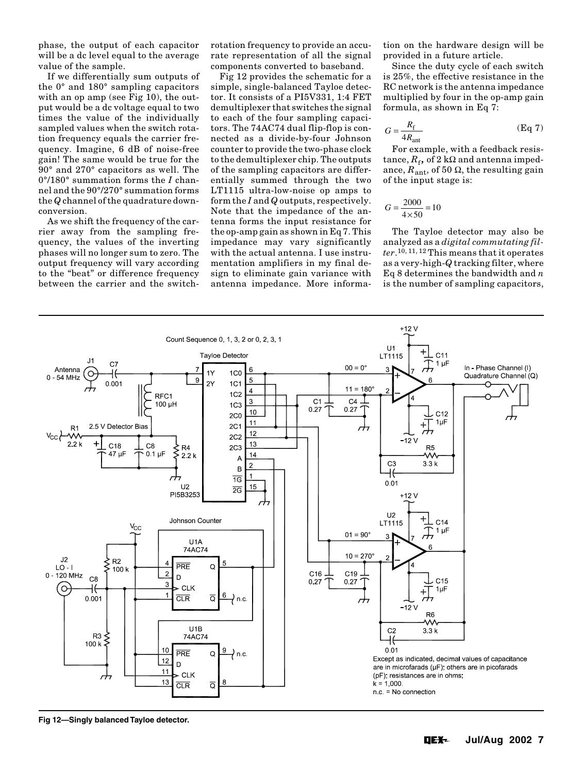phase, the output of each capacitor will be a dc level equal to the average value of the sample.

If we differentially sum outputs of the 0° and 180° sampling capacitors with an op amp (see Fig 10), the output would be a dc voltage equal to two times the value of the individually sampled values when the switch rotation frequency equals the carrier frequency. Imagine, 6 dB of noise-free gain! The same would be true for the 90° and 270° capacitors as well. The 0°/180° summation forms the *I* channel and the 90°/270° summation forms the *Q* channel of the quadrature downconversion.

As we shift the frequency of the carrier away from the sampling frequency, the values of the inverting phases will no longer sum to zero. The output frequency will vary according to the "beat" or difference frequency between the carrier and the switchrotation frequency to provide an accurate representation of all the signal components converted to baseband.

Fig 12 provides the schematic for a simple, single-balanced Tayloe detector. It consists of a PI5V331, 1:4 FET demultiplexer that switches the signal to each of the four sampling capacitors. The 74AC74 dual flip-flop is connected as a divide-by-four Johnson counter to provide the two-phase clock to the demultiplexer chip. The outputs of the sampling capacitors are differentially summed through the two LT1115 ultra-low-noise op amps to form the *I* and *Q* outputs, respectively. Note that the impedance of the antenna forms the input resistance for the op-amp gain as shown in Eq 7. This impedance may vary significantly with the actual antenna. I use instrumentation amplifiers in my final design to eliminate gain variance with antenna impedance. More information on the hardware design will be provided in a future article.

Since the duty cycle of each switch is 25%, the effective resistance in the RC network is the antenna impedance multiplied by four in the op-amp gain formula, as shown in Eq 7:

$$
G = \frac{R_{\rm f}}{4R_{\rm ant}}\tag{Eq 7}
$$

For example, with a feedback resistance,  $R_f$ , of 2 kΩ and antenna impedance,  $\overline{R}_{ant}$ , of 50  $\Omega$ , the resulting gain of the input stage is:

$$
G = \frac{2000}{4 \times 50} = 10
$$

The Tayloe detector may also be analyzed as a *digital commutating filter*.10, 11, 12 This means that it operates as a very-high-*Q* tracking filter, where Eq 8 determines the bandwidth and *n* is the number of sampling capacitors,



**Fig 12—Singly balanced Tayloe detector.**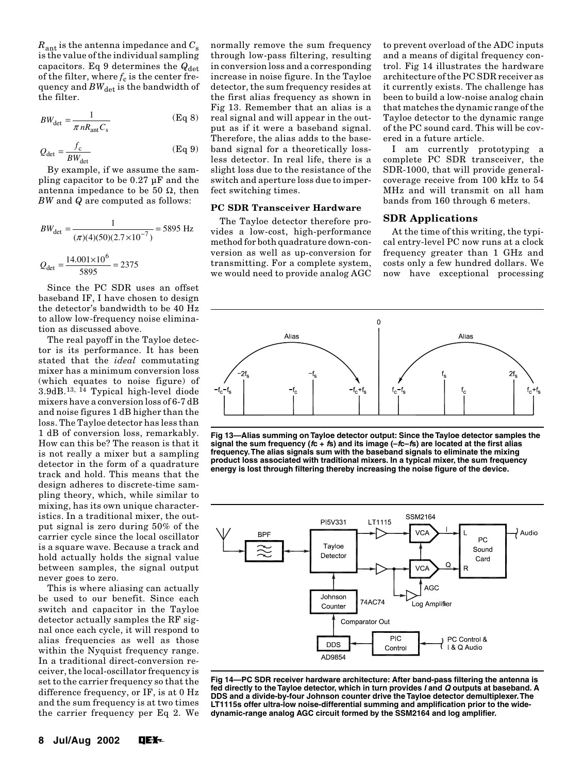$R_{\text{ant}}$  is the antenna impedance and  $C_{\text{s}}$ is the value of the individual sampling capacitors. Eq 9 determines the  $Q_{\text{det}}$ of the filter, where  $f_c$  is the center frequency and  $BW_{\text{det}}$  is the bandwidth of the filter.

$$
BW_{\det} = \frac{1}{\pi n R_{\text{ant}} C_s}
$$
 (Eq 8)

$$
Q_{\text{det}} = \frac{f_{\text{c}}}{BW_{\text{det}}} \tag{Eq 9}
$$

By example, if we assume the sampling capacitor to be 0.27 µF and the antenna impedance to be 50  $Ω$ , then *BW* and *Q* are computed as follows:

$$
BW_{\text{det}} = \frac{1}{(\pi)(4)(50)(2.7 \times 10^{-7})} = 5895 \text{ Hz}
$$

$$
Q_{\text{det}} = \frac{14.001 \times 10^6}{5895} = 2375
$$

Since the PC SDR uses an offset baseband IF, I have chosen to design the detector's bandwidth to be 40 Hz to allow low-frequency noise elimination as discussed above.

The real payoff in the Tayloe detector is its performance. It has been stated that the *ideal* commutating mixer has a minimum conversion loss (which equates to noise figure) of 3.9dB.13, 14 Typical high-level diode mixers have a conversion loss of 6-7 dB and noise figures 1 dB higher than the loss. The Tayloe detector has less than 1 dB of conversion loss, remarkably. How can this be? The reason is that it is not really a mixer but a sampling detector in the form of a quadrature track and hold. This means that the design adheres to discrete-time sampling theory, which, while similar to mixing, has its own unique characteristics. In a traditional mixer, the output signal is zero during 50% of the carrier cycle since the local oscillator is a square wave. Because a track and hold actually holds the signal value between samples, the signal output never goes to zero.

This is where aliasing can actually be used to our benefit. Since each switch and capacitor in the Tayloe detector actually samples the RF signal once each cycle, it will respond to alias frequencies as well as those within the Nyquist frequency range. In a traditional direct-conversion receiver, the local-oscillator frequency is set to the carrier frequency so that the difference frequency, or IF, is at 0 Hz and the sum frequency is at two times the carrier frequency per Eq 2. We normally remove the sum frequency through low-pass filtering, resulting in conversion loss and a corresponding increase in noise figure. In the Tayloe detector, the sum frequency resides at the first alias frequency as shown in Fig 13. Remember that an alias is a real signal and will appear in the output as if it were a baseband signal. Therefore, the alias adds to the baseband signal for a theoretically lossless detector. In real life, there is a slight loss due to the resistance of the switch and aperture loss due to imperfect switching times.

#### **PC SDR Transceiver Hardware**

The Tayloe detector therefore provides a low-cost, high-performance method for both quadrature down-conversion as well as up-conversion for transmitting. For a complete system, we would need to provide analog AGC

to prevent overload of the ADC inputs and a means of digital frequency control. Fig 14 illustrates the hardware architecture of the PC SDR receiver as it currently exists. The challenge has been to build a low-noise analog chain that matches the dynamic range of the Tayloe detector to the dynamic range of the PC sound card. This will be covered in a future article.

I am currently prototyping a complete PC SDR transceiver, the SDR-1000, that will provide generalcoverage receive from 100 kHz to 54 MHz and will transmit on all ham bands from 160 through 6 meters.

#### **SDR Applications**

At the time of this writing, the typical entry-level PC now runs at a clock frequency greater than 1 GHz and costs only a few hundred dollars. We now have exceptional processing



**Fig 13—Alias summing on Tayloe detector output: Since the Tayloe detector samples the signal the sum frequency (fc + fs) and its image (–fc–fs) are located at the first alias frequency. The alias signals sum with the baseband signals to eliminate the mixing product loss associated with traditional mixers. In a typical mixer, the sum frequency energy is lost through filtering thereby increasing the noise figure of the device.**



**Fig 14—PC SDR receiver hardware architecture: After band-pass filtering the antenna is fed directly to the Tayloe detector, which in turn provides I and Q outputs at baseband. A DDS and a divide-by-four Johnson counter drive the Tayloe detector demultiplexer. The LT1115s offer ultra-low noise-differential summing and amplification prior to the widedynamic-range analog AGC circuit formed by the SSM2164 and log amplifier.**